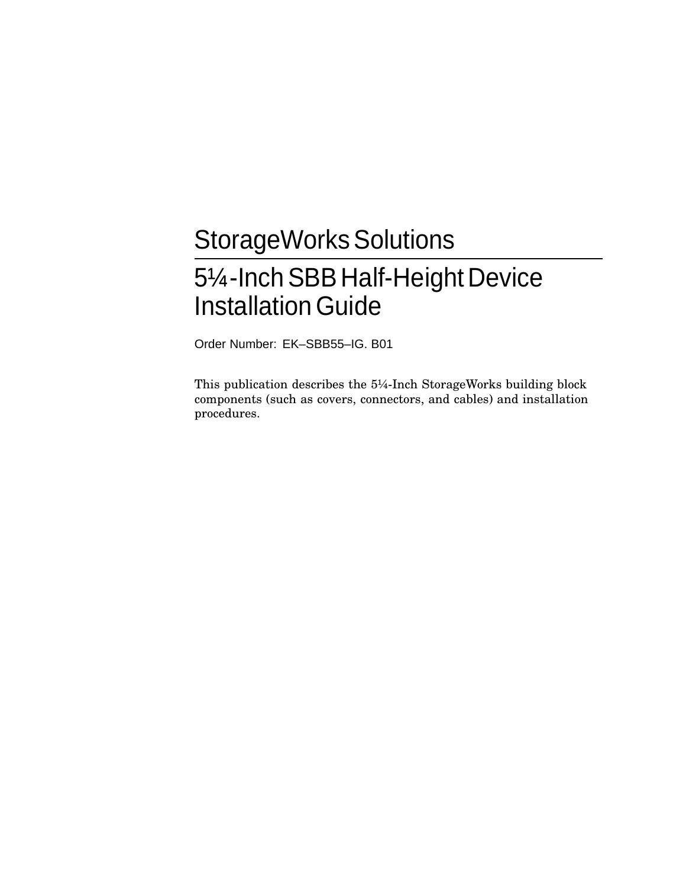# StorageWorks Solutions 51/4-Inch SBB Half-Height Device **Installation Guide**

Order Number: EK–SBB55–IG. B01

This publication describes the 5¼-Inch StorageWorks building block components (such as covers, connectors, and cables) and installation procedures.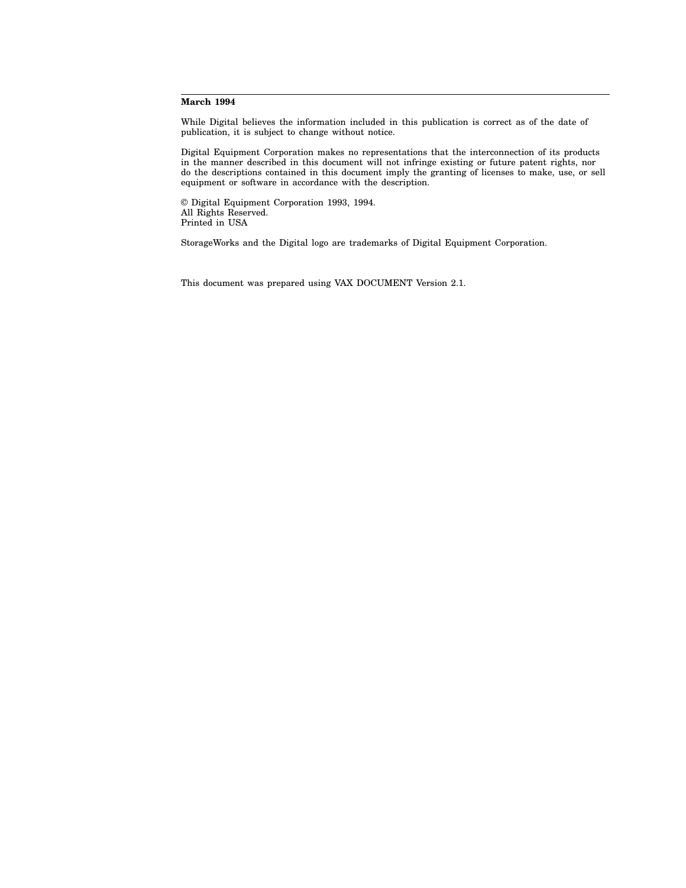#### **March 1994**

While Digital believes the information included in this publication is correct as of the date of publication, it is subject to change without notice.

Digital Equipment Corporation makes no representations that the interconnection of its products in the manner described in this document will not infringe existing or future patent rights, nor do the descriptions contained in this document imply the granting of licenses to make, use, or sell equipment or software in accordance with the description.

© Digital Equipment Corporation 1993, 1994. All Rights Reserved. Printed in USA

StorageWorks and the Digital logo are trademarks of Digital Equipment Corporation.

This document was prepared using VAX DOCUMENT Version 2.1.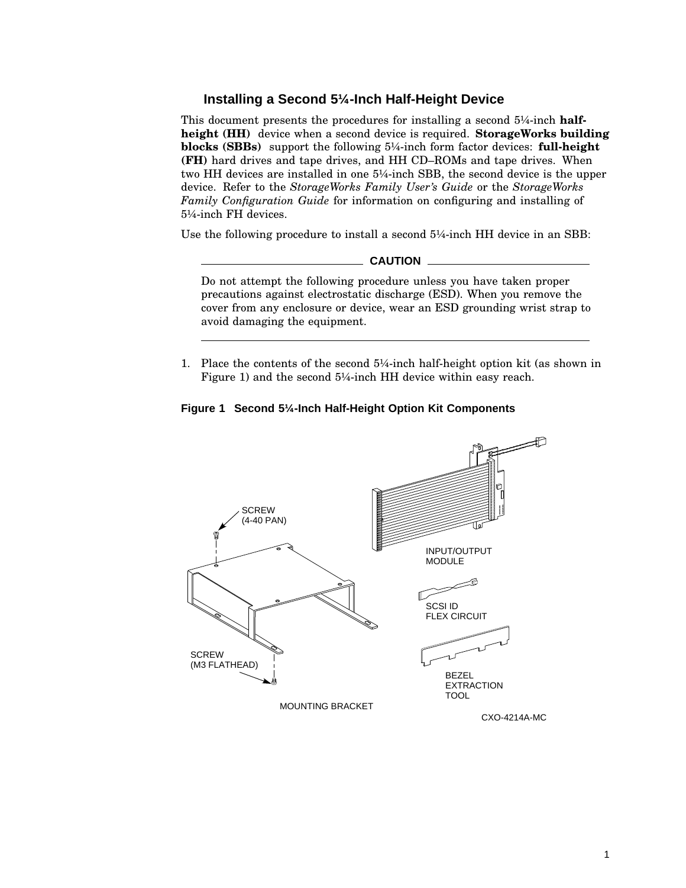# **Installing a Second 5¼-Inch Half-Height Device**

This document presents the procedures for installing a second 5¼-inch **halfheight (HH)** device when a second device is required. **StorageWorks building blocks (SBBs)** support the following 5¼-inch form factor devices: **full-height (FH)** hard drives and tape drives, and HH CD–ROMs and tape drives. When two HH devices are installed in one 5¼-inch SBB, the second device is the upper device. Refer to the *StorageWorks Family User's Guide* or the *StorageWorks Family Configuration Guide* for information on configuring and installing of 5¼-inch FH devices.

Use the following procedure to install a second 5¼-inch HH device in an SBB:

#### **CAUTION**

Do not attempt the following procedure unless you have taken proper precautions against electrostatic discharge (ESD). When you remove the cover from any enclosure or device, wear an ESD grounding wrist strap to avoid damaging the equipment.

1. Place the contents of the second 5¼-inch half-height option kit (as shown in Figure 1) and the second 5¼-inch HH device within easy reach.



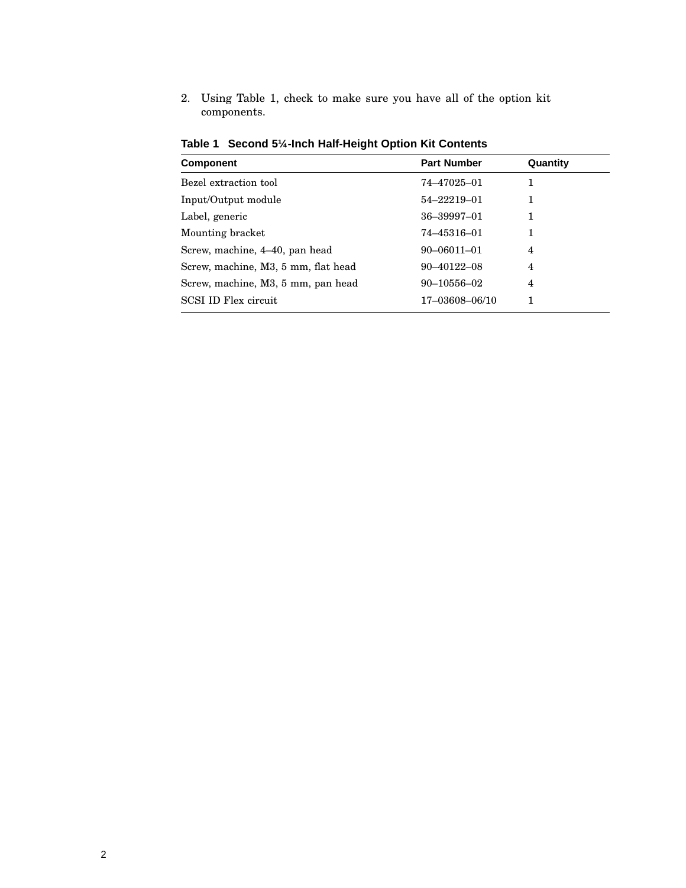2. Using Table 1, check to make sure you have all of the option kit components.

| <b>Component</b>                    | <b>Part Number</b> | Quantity |  |
|-------------------------------------|--------------------|----------|--|
| Bezel extraction tool               | 74-47025-01        |          |  |
| Input/Output module                 | 54-22219-01        | 1        |  |
| Label, generic                      | 36-39997-01        | 1        |  |
| Mounting bracket                    | 74–45316–01        |          |  |
| Screw, machine, 4–40, pan head      | $90 - 06011 - 01$  | 4        |  |
| Screw, machine, M3, 5 mm, flat head | 90-40122-08        | 4        |  |
| Screw, machine, M3, 5 mm, pan head  | $90 - 10556 - 02$  | 4        |  |
| SCSI ID Flex circuit                | 17-03608-06/10     |          |  |
|                                     |                    |          |  |

**Table 1 Second 5¼-Inch Half-Height Option Kit Contents**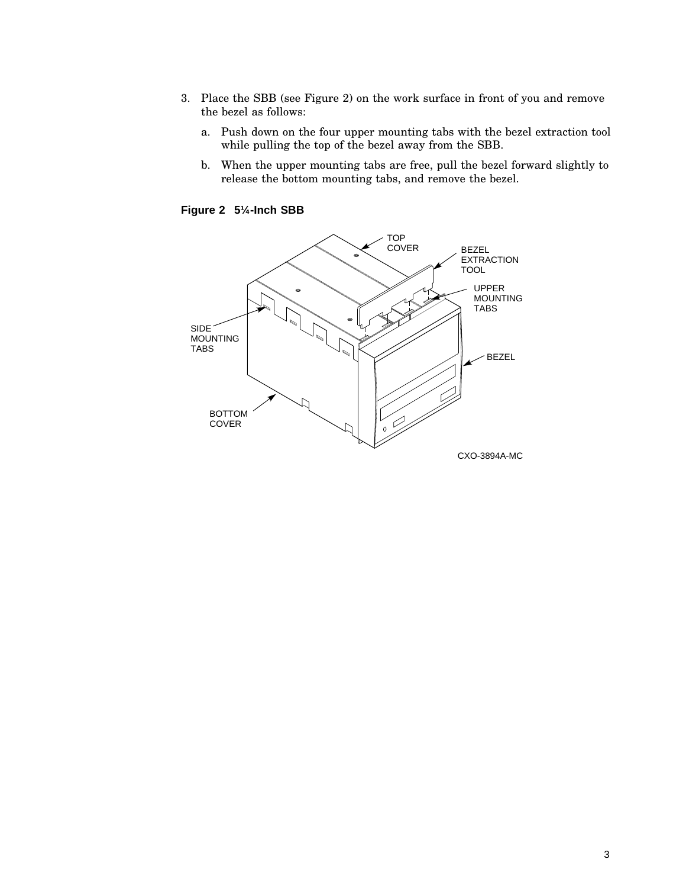- 3. Place the SBB (see Figure 2) on the work surface in front of you and remove the bezel as follows:
	- a. Push down on the four upper mounting tabs with the bezel extraction tool while pulling the top of the bezel away from the SBB.
	- b. When the upper mounting tabs are free, pull the bezel forward slightly to release the bottom mounting tabs, and remove the bezel.

**Figure 2 5¼-Inch SBB**

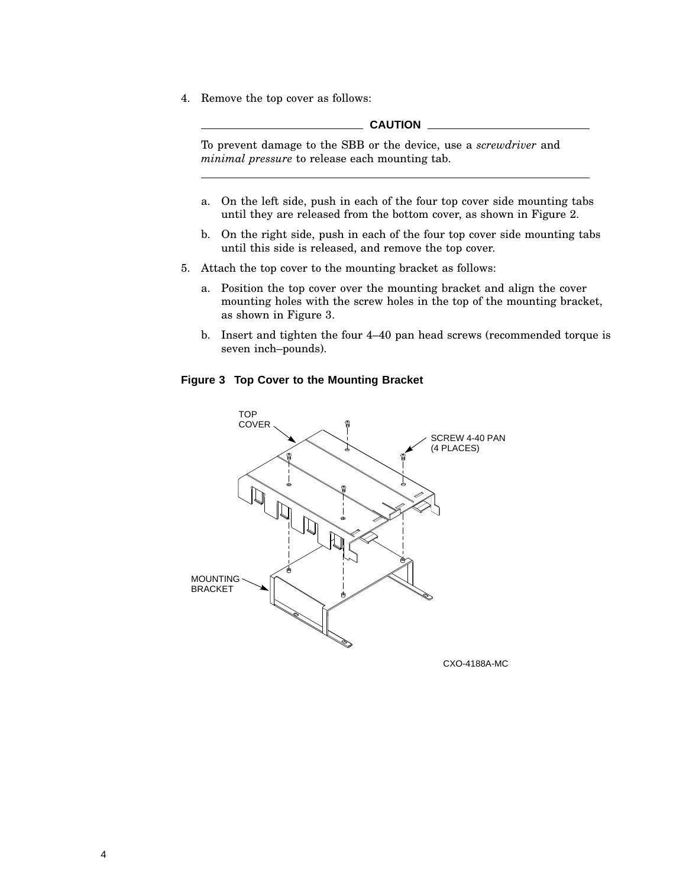4. Remove the top cover as follows:

#### **CAUTION**

To prevent damage to the SBB or the device, use a *screwdriver* and *minimal pressure* to release each mounting tab.

- a. On the left side, push in each of the four top cover side mounting tabs until they are released from the bottom cover, as shown in Figure 2.
- b. On the right side, push in each of the four top cover side mounting tabs until this side is released, and remove the top cover.
- 5. Attach the top cover to the mounting bracket as follows:
	- a. Position the top cover over the mounting bracket and align the cover mounting holes with the screw holes in the top of the mounting bracket, as shown in Figure 3.
	- b. Insert and tighten the four 4–40 pan head screws (recommended torque is seven inch–pounds).

## **Figure 3 Top Cover to the Mounting Bracket**



CXO-4188A-MC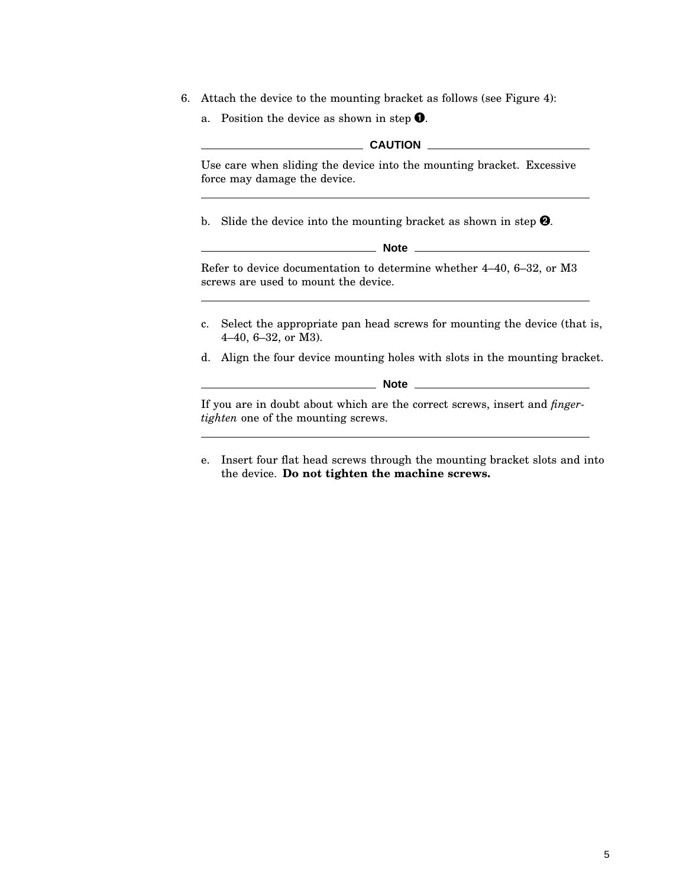- 6. Attach the device to the mounting bracket as follows (see Figure 4):
	- a. Position the device as shown in step  $\bullet$ .

#### **CAUTION**

Use care when sliding the device into the mounting bracket. Excessive force may damage the device.

b. Slide the device into the mounting bracket as shown in step  $\mathbf{Q}$ .

| ۱<br>J<br>۹<br>۰,<br>٧ |  |
|------------------------|--|
|------------------------|--|

Refer to device documentation to determine whether 4–40, 6–32, or M3 screws are used to mount the device.

- c. Select the appropriate pan head screws for mounting the device (that is, 4–40, 6–32, or M3).
- d. Align the four device mounting holes with slots in the mounting bracket.

**Note**

If you are in doubt about which are the correct screws, insert and *fingertighten* one of the mounting screws.

e. Insert four flat head screws through the mounting bracket slots and into the device. **Do not tighten the machine screws.**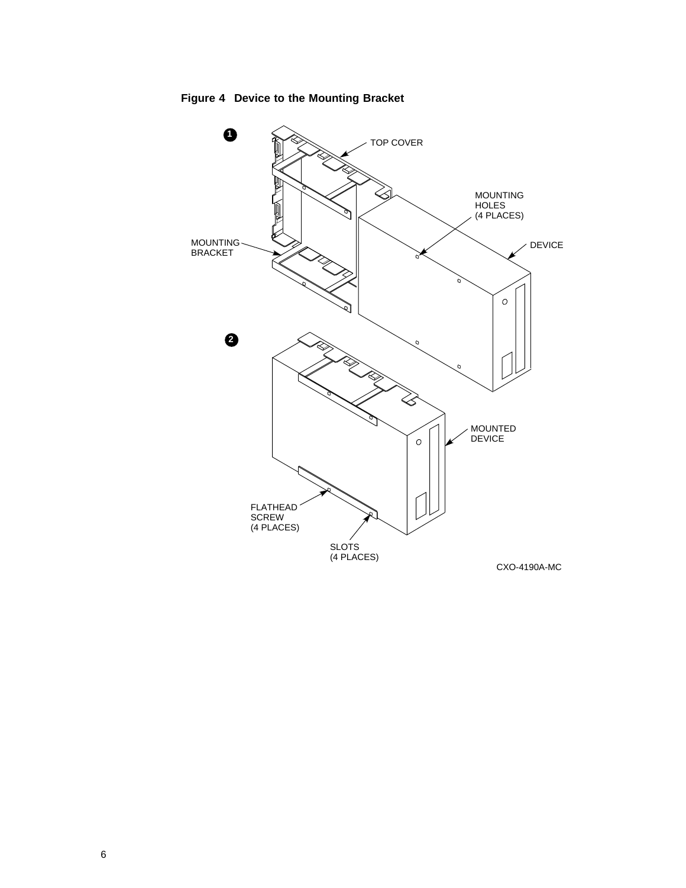**Figure 4 Device to the Mounting Bracket**

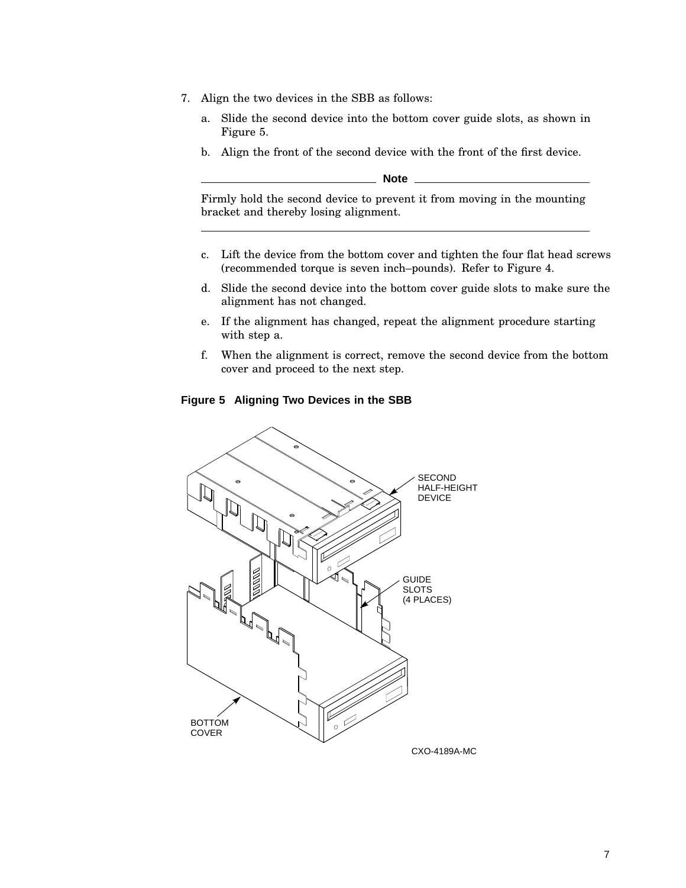- 7. Align the two devices in the SBB as follows:
	- a. Slide the second device into the bottom cover guide slots, as shown in Figure 5.
	- b. Align the front of the second device with the front of the first device.

**Note**

Firmly hold the second device to prevent it from moving in the mounting bracket and thereby losing alignment.

- c. Lift the device from the bottom cover and tighten the four flat head screws (recommended torque is seven inch–pounds). Refer to Figure 4.
- d. Slide the second device into the bottom cover guide slots to make sure the alignment has not changed.
- e. If the alignment has changed, repeat the alignment procedure starting with step a.
- f. When the alignment is correct, remove the second device from the bottom cover and proceed to the next step.

# **Figure 5 Aligning Two Devices in the SBB**

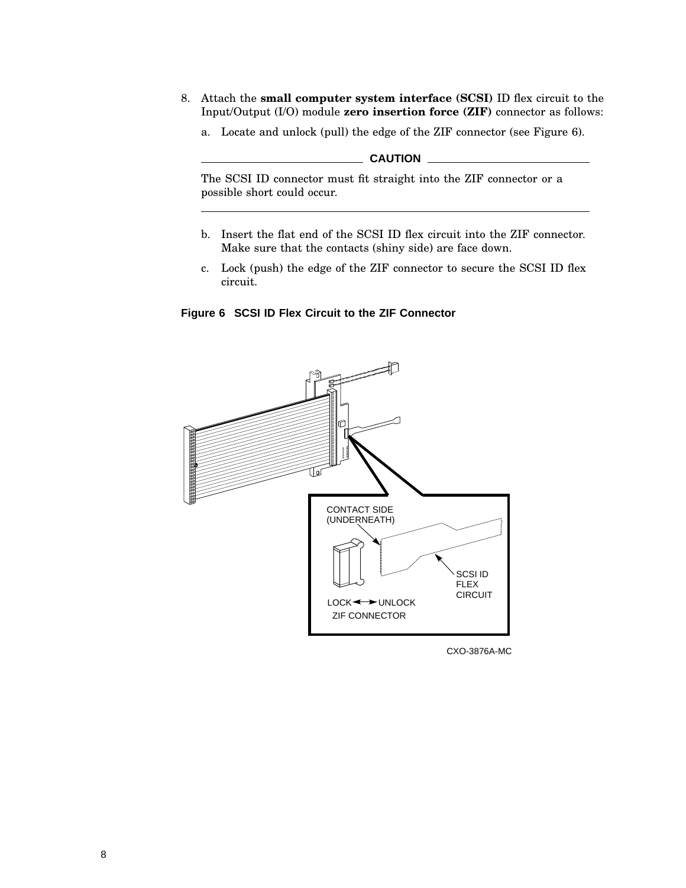- 8. Attach the **small computer system interface (SCSI)** ID flex circuit to the Input/Output (I/O) module **zero insertion force (ZIF)** connector as follows:
	- a. Locate and unlock (pull) the edge of the ZIF connector (see Figure 6).

# **CAUTION** \_\_\_\_\_\_

The SCSI ID connector must fit straight into the ZIF connector or a possible short could occur.

- b. Insert the flat end of the SCSI ID flex circuit into the ZIF connector. Make sure that the contacts (shiny side) are face down.
- c. Lock (push) the edge of the ZIF connector to secure the SCSI ID flex circuit.

**Figure 6 SCSI ID Flex Circuit to the ZIF Connector**



CXO-3876A-MC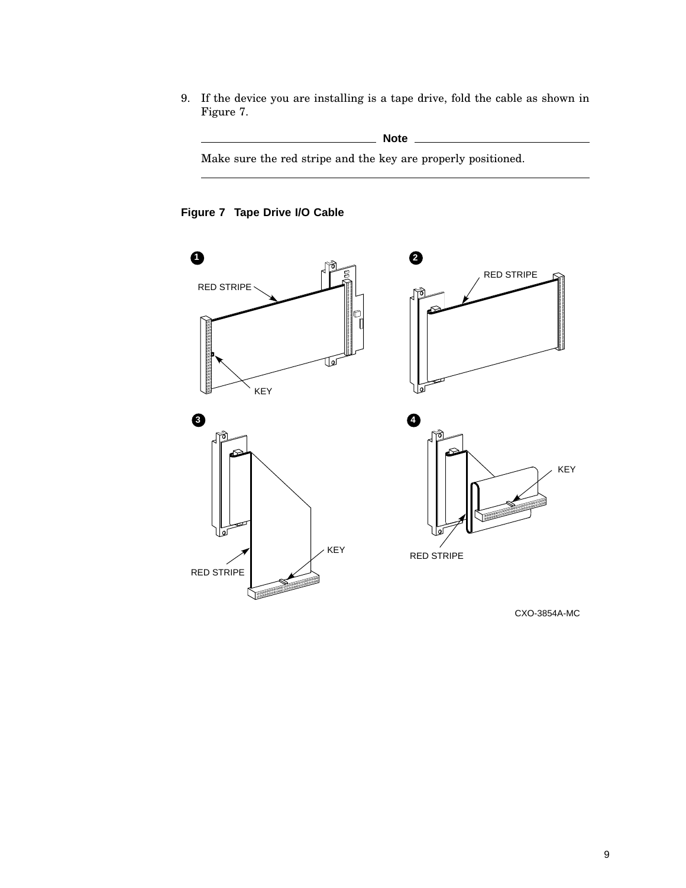9. If the device you are installing is a tape drive, fold the cable as shown in Figure 7.

**Note**

Make sure the red stripe and the key are properly positioned.

# **Figure 7 Tape Drive I/O Cable**



CXO-3854A-MC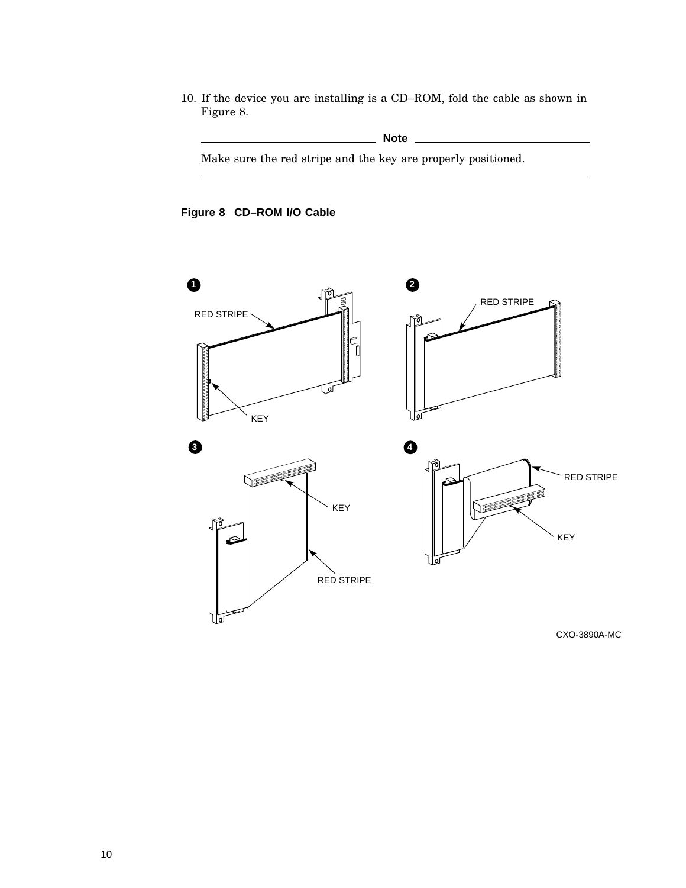10. If the device you are installing is a CD–ROM, fold the cable as shown in Figure 8.

# **Note**

Make sure the red stripe and the key are properly positioned.

# **Figure 8 CD–ROM I/O Cable**



CXO-3890A-MC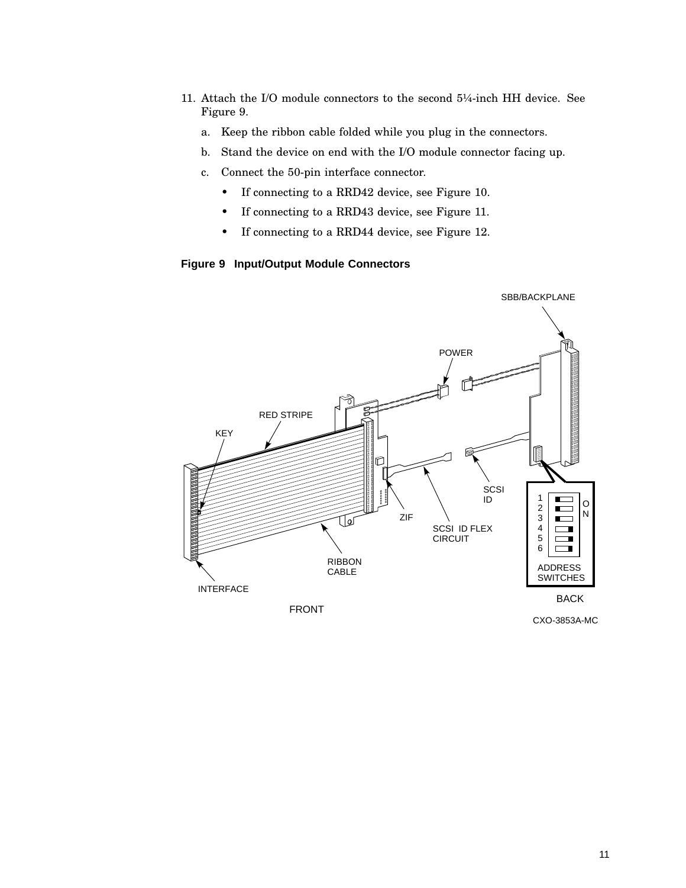- 11. Attach the I/O module connectors to the second 5¼-inch HH device. See Figure 9.
	- a. Keep the ribbon cable folded while you plug in the connectors.
	- b. Stand the device on end with the I/O module connector facing up.
	- c. Connect the 50-pin interface connector.
		- If connecting to a RRD42 device, see Figure 10.
		- If connecting to a RRD43 device, see Figure 11.
		- If connecting to a RRD44 device, see Figure 12.

## **Figure 9 Input/Output Module Connectors**

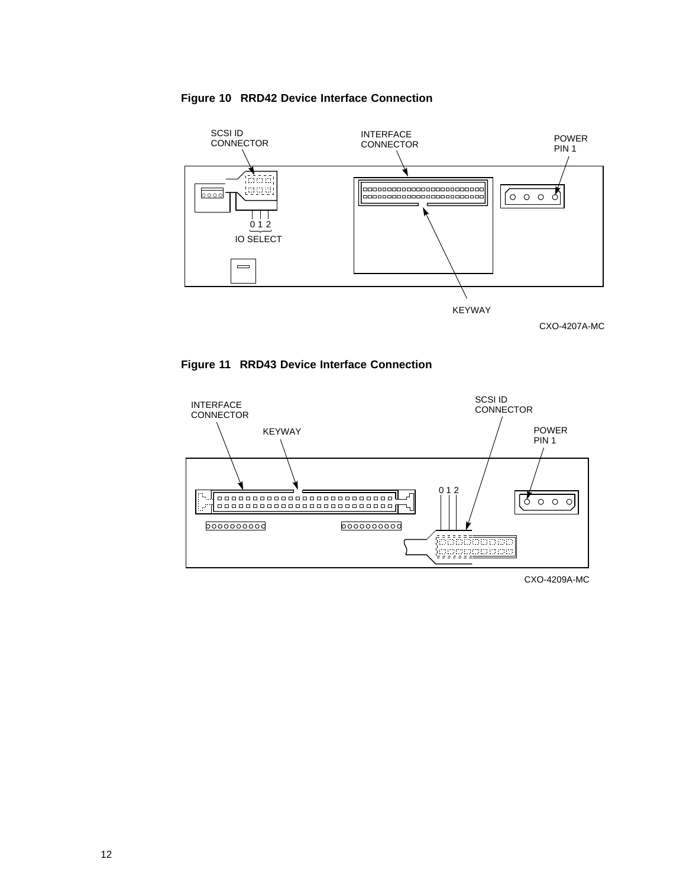







CXO-4209A-MC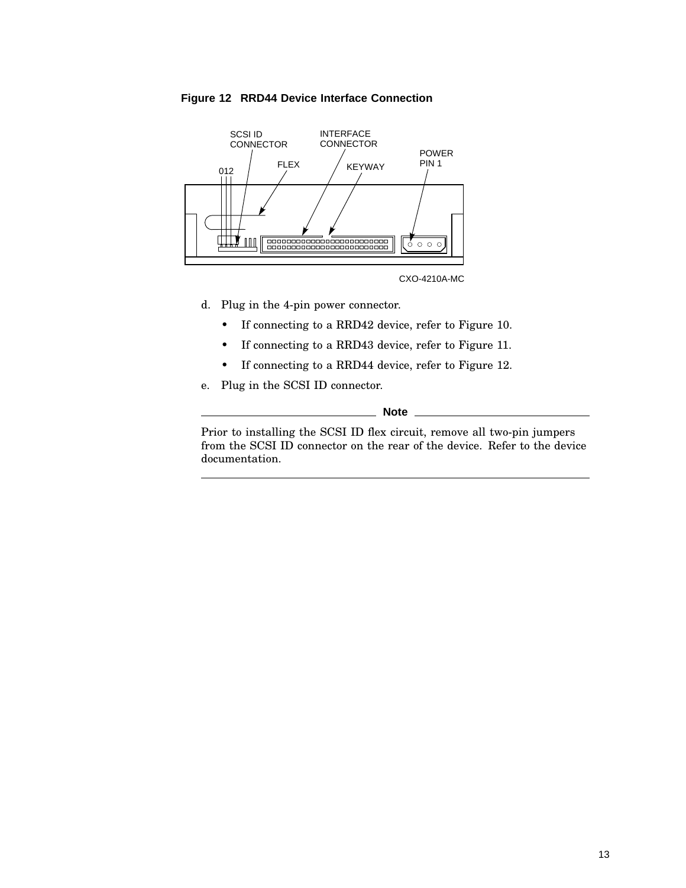



CXO-4210A-MC

- d. Plug in the 4-pin power connector.
	- If connecting to a RRD42 device, refer to Figure 10.
	- If connecting to a RRD43 device, refer to Figure 11.
	- If connecting to a RRD44 device, refer to Figure 12.
- e. Plug in the SCSI ID connector.

**Note**

Prior to installing the SCSI ID flex circuit, remove all two-pin jumpers from the SCSI ID connector on the rear of the device. Refer to the device documentation.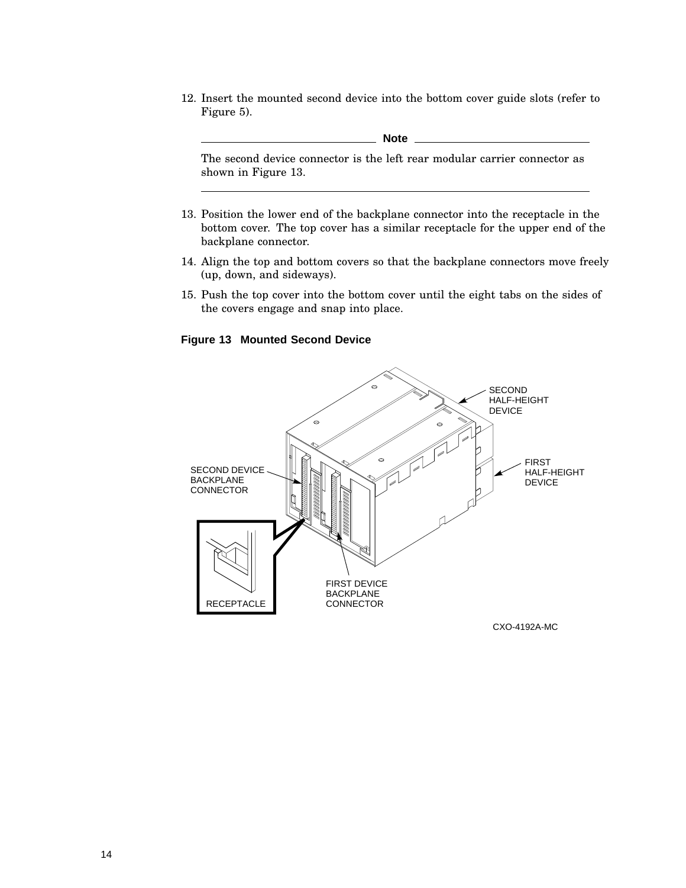12. Insert the mounted second device into the bottom cover guide slots (refer to Figure 5).

**Note**

The second device connector is the left rear modular carrier connector as shown in Figure 13.

- 13. Position the lower end of the backplane connector into the receptacle in the bottom cover. The top cover has a similar receptacle for the upper end of the backplane connector.
- 14. Align the top and bottom covers so that the backplane connectors move freely (up, down, and sideways).
- 15. Push the top cover into the bottom cover until the eight tabs on the sides of the covers engage and snap into place.

### **Figure 13 Mounted Second Device**



CXO-4192A-MC